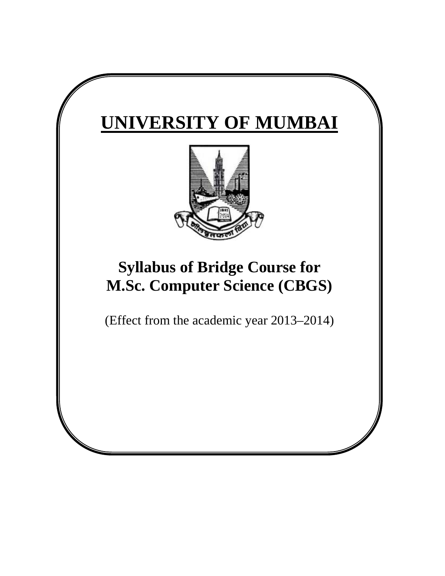# **UNIVERSITY OF MUMBAI**



## **Syllabus of Bridge Course for M.Sc. Computer Science (CBGS)**

(Effect from the academic year 2013–2014)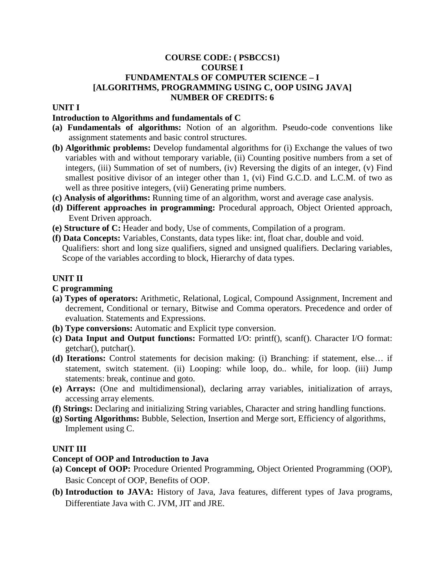## **COURSE CODE: ( PSBCCS1) COURSE I FUNDAMENTALS OF COMPUTER SCIENCE – I [ALGORITHMS, PROGRAMMING USING C, OOP USING JAVA] NUMBER OF CREDITS: 6**

#### **UNIT I**

## **Introduction to Algorithms and fundamentals of C**

- **(a) Fundamentals of algorithms:** Notion of an algorithm. Pseudo-code conventions like assignment statements and basic control structures.
- **(b) Algorithmic problems:** Develop fundamental algorithms for (i) Exchange the values of two variables with and without temporary variable, (ii) Counting positive numbers from a set of integers, (iii) Summation of set of numbers, (iv) Reversing the digits of an integer, (v) Find smallest positive divisor of an integer other than 1, (vi) Find G.C.D. and L.C.M. of two as well as three positive integers, (vii) Generating prime numbers.
- **(c) Analysis of algorithms:** Running time of an algorithm, worst and average case analysis.
- **(d) Different approaches in programming:** Procedural approach, Object Oriented approach, Event Driven approach.
- **(e) Structure of C:** Header and body, Use of comments, Compilation of a program.
- **(f) Data Concepts:** Variables, Constants, data types like: int, float char, double and void. Qualifiers: short and long size qualifiers, signed and unsigned qualifiers. Declaring variables, Scope of the variables according to block, Hierarchy of data types.

## **UNIT II**

#### **C programming**

- **(a) Types of operators:** Arithmetic, Relational, Logical, Compound Assignment, Increment and decrement, Conditional or ternary, Bitwise and Comma operators. Precedence and order of evaluation. Statements and Expressions.
- **(b) Type conversions:** Automatic and Explicit type conversion.
- **(c) Data Input and Output functions:** Formatted I/O: printf(), scanf(). Character I/O format: getchar(), putchar().
- **(d) Iterations:** Control statements for decision making: (i) Branching: if statement, else… if statement, switch statement. (ii) Looping: while loop, do.. while, for loop. (iii) Jump statements: break, continue and goto.
- **(e) Arrays:** (One and multidimensional), declaring array variables, initialization of arrays, accessing array elements.
- **(f) Strings:** Declaring and initializing String variables, Character and string handling functions.
- **(g) Sorting Algorithms:** Bubble, Selection, Insertion and Merge sort, Efficiency of algorithms, Implement using C.

#### **UNIT III**

## **Concept of OOP and Introduction to Java**

- **(a) Concept of OOP:** Procedure Oriented Programming, Object Oriented Programming (OOP), Basic Concept of OOP, Benefits of OOP.
- **(b) Introduction to JAVA:** History of Java, Java features, different types of Java programs, Differentiate Java with C. JVM, JIT and JRE.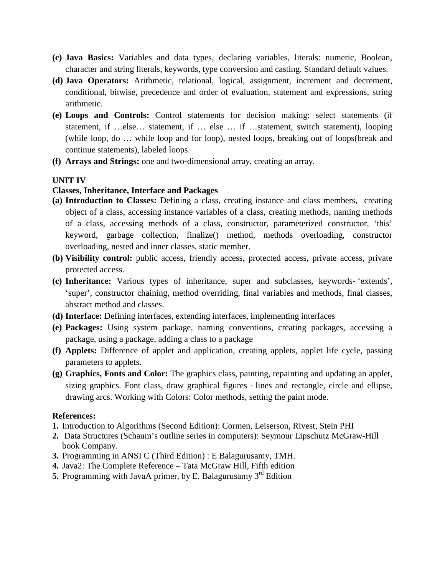- **(c) Java Basics:** Variables and data types, declaring variables, literals: numeric, Boolean, character and string literals, keywords, type conversion and casting. Standard default values.
- **(d) Java Operators:** Arithmetic, relational, logical, assignment, increment and decrement, conditional, bitwise, precedence and order of evaluation, statement and expressions, string arithmetic.
- **(e) Loops and Controls:** Control statements for decision making: select statements (if statement, if …else… statement, if … else … if …statement, switch statement), looping (while loop, do … while loop and for loop), nested loops, breaking out of loops(break and continue statements), labeled loops.
- **(f) Arrays and Strings:** one and two‐dimensional array, creating an array.

#### **UNIT IV**

#### **Classes, Inheritance, Interface and Packages**

- **(a) Introduction to Classes:** Defining a class, creating instance and class members, creating object of a class, accessing instance variables of a class, creating methods, naming methods of a class, accessing methods of a class, constructor, parameterized constructor, 'this' keyword, garbage collection, finalize() method, methods overloading, constructor overloading, nested and inner classes, static member.
- **(b) Visibility control:** public access, friendly access, protected access, private access, private protected access.
- **(c) Inheritance:** Various types of inheritance, super and subclasses, keywords‐ 'extends', 'super', constructor chaining, method overriding, final variables and methods, final classes, abstract method and classes.
- **(d) Interface:** Defining interfaces, extending interfaces, implementing interfaces
- **(e) Packages:** Using system package, naming conventions, creating packages, accessing a package, using a package, adding a class to a package
- **(f) Applets:** Difference of applet and application, creating applets, applet life cycle, passing parameters to applets.
- **(g) Graphics, Fonts and Color:** The graphics class, painting, repainting and updating an applet, sizing graphics. Font class, draw graphical figures ‐ lines and rectangle, circle and ellipse, drawing arcs. Working with Colors: Color methods, setting the paint mode.

#### **References:**

- **1.** Introduction to Algorithms (Second Edition): Cormen, Leiserson, Rivest, Stein PHI
- **2.** Data Structures (Schaum's outline series in computers): Seymour Lipschutz McGraw-Hill book Company.
- **3.** Programming in ANSI C (Third Edition) : E Balagurusamy, TMH.
- **4.** Java2: The Complete Reference Tata McGraw Hill, Fifth edition
- **5.** Programming with JavaA primer, by E. Balagurusamy 3<sup>rd</sup> Edition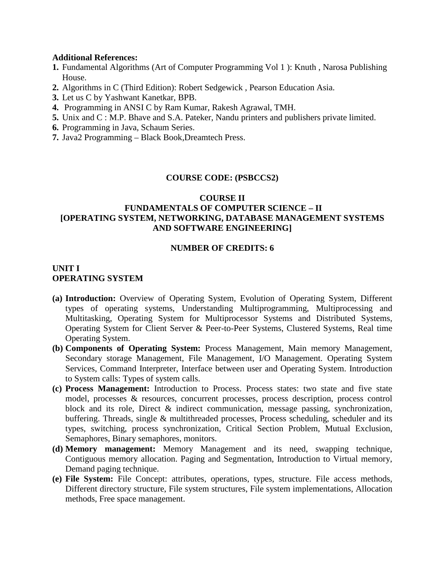#### **Additional References:**

- **1.** Fundamental Algorithms (Art of Computer Programming Vol 1 ): Knuth , Narosa Publishing House.
- **2.** Algorithms in C (Third Edition): Robert Sedgewick , Pearson Education Asia.
- **3.** Let us C by Yashwant Kanetkar, BPB.
- **4.** Programming in ANSI C by Ram Kumar, Rakesh Agrawal, TMH.
- **5.** Unix and C : M.P. Bhave and S.A. Pateker, Nandu printers and publishers private limited.
- **6.** Programming in Java, Schaum Series.
- **7.** Java2 Programming Black Book,Dreamtech Press.

#### **COURSE CODE: (PSBCCS2)**

#### **COURSE II**

## **FUNDAMENTALS OF COMPUTER SCIENCE – II [OPERATING SYSTEM, NETWORKING, DATABASE MANAGEMENT SYSTEMS AND SOFTWARE ENGINEERING]**

#### **NUMBER OF CREDITS: 6**

## **UNIT I OPERATING SYSTEM**

- **(a) Introduction:** Overview of Operating System, Evolution of Operating System, Different types of operating systems, Understanding Multiprogramming, Multiprocessing and Multitasking, Operating System for Multiprocessor Systems and Distributed Systems, Operating System for Client Server & Peer-to-Peer Systems, Clustered Systems, Real time Operating System.
- **(b) Components of Operating System:** Process Management, Main memory Management, Secondary storage Management, File Management, I/O Management. Operating System Services, Command Interpreter, Interface between user and Operating System. Introduction to System calls: Types of system calls.
- **(c) Process Management:** Introduction to Process. Process states: two state and five state model, processes & resources, concurrent processes, process description, process control block and its role, Direct & indirect communication, message passing, synchronization, buffering. Threads, single & multithreaded processes, Process scheduling, scheduler and its types, switching, process synchronization, Critical Section Problem, Mutual Exclusion, Semaphores, Binary semaphores, monitors.
- **(d) Memory management:** Memory Management and its need, swapping technique, Contiguous memory allocation. Paging and Segmentation, Introduction to Virtual memory, Demand paging technique.
- **(e) File System:** File Concept: attributes, operations, types, structure. File access methods, Different directory structure, File system structures, File system implementations, Allocation methods, Free space management.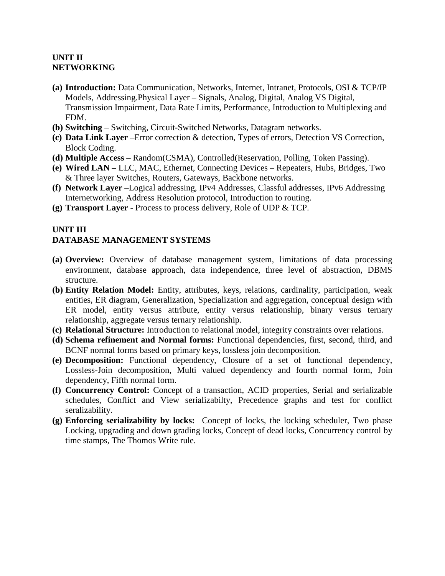## **UNIT II NETWORKING**

- **(a) Introduction:** Data Communication, Networks, Internet, Intranet, Protocols, OSI & TCP/IP Models, Addressing.Physical Layer – Signals, Analog, Digital, Analog VS Digital, Transmission Impairment, Data Rate Limits, Performance, Introduction to Multiplexing and FDM.
- **(b) Switching** Switching, Circuit-Switched Networks, Datagram networks.
- **(c) Data Link Layer** –Error correction & detection, Types of errors, Detection VS Correction, Block Coding.
- **(d) Multiple Access**  Random(CSMA), Controlled(Reservation, Polling, Token Passing).
- **(e) Wired LAN –** LLC, MAC, Ethernet, Connecting Devices Repeaters, Hubs, Bridges, Two & Three layer Switches, Routers, Gateways, Backbone networks.
- **(f) Network Layer** –Logical addressing, IPv4 Addresses, Classful addresses, IPv6 Addressing Internetworking, Address Resolution protocol, Introduction to routing.
- **(g) Transport Layer**  Process to process delivery, Role of UDP & TCP.

## **UNIT III**

## **DATABASE MANAGEMENT SYSTEMS**

- **(a) Overview:** Overview of database management system, limitations of data processing environment, database approach, data independence, three level of abstraction, DBMS structure.
- **(b) Entity Relation Model:** Entity, attributes, keys, relations, cardinality, participation, weak entities, ER diagram, Generalization, Specialization and aggregation, conceptual design with ER model, entity versus attribute, entity versus relationship, binary versus ternary relationship, aggregate versus ternary relationship.
- **(c) Relational Structure:** Introduction to relational model, integrity constraints over relations.
- **(d) Schema refinement and Normal forms:** Functional dependencies, first, second, third, and BCNF normal forms based on primary keys, lossless join decomposition.
- **(e) Decomposition:** Functional dependency, Closure of a set of functional dependency, Lossless-Join decomposition, Multi valued dependency and fourth normal form, Join dependency, Fifth normal form.
- **(f) Concurrency Control:** Concept of a transaction, ACID properties, Serial and serializable schedules, Conflict and View serializabilty, Precedence graphs and test for conflict seralizability.
- **(g) Enforcing serializability by locks:** Concept of locks, the locking scheduler, Two phase Locking, upgrading and down grading locks, Concept of dead locks, Concurrency control by time stamps, The Thomos Write rule.